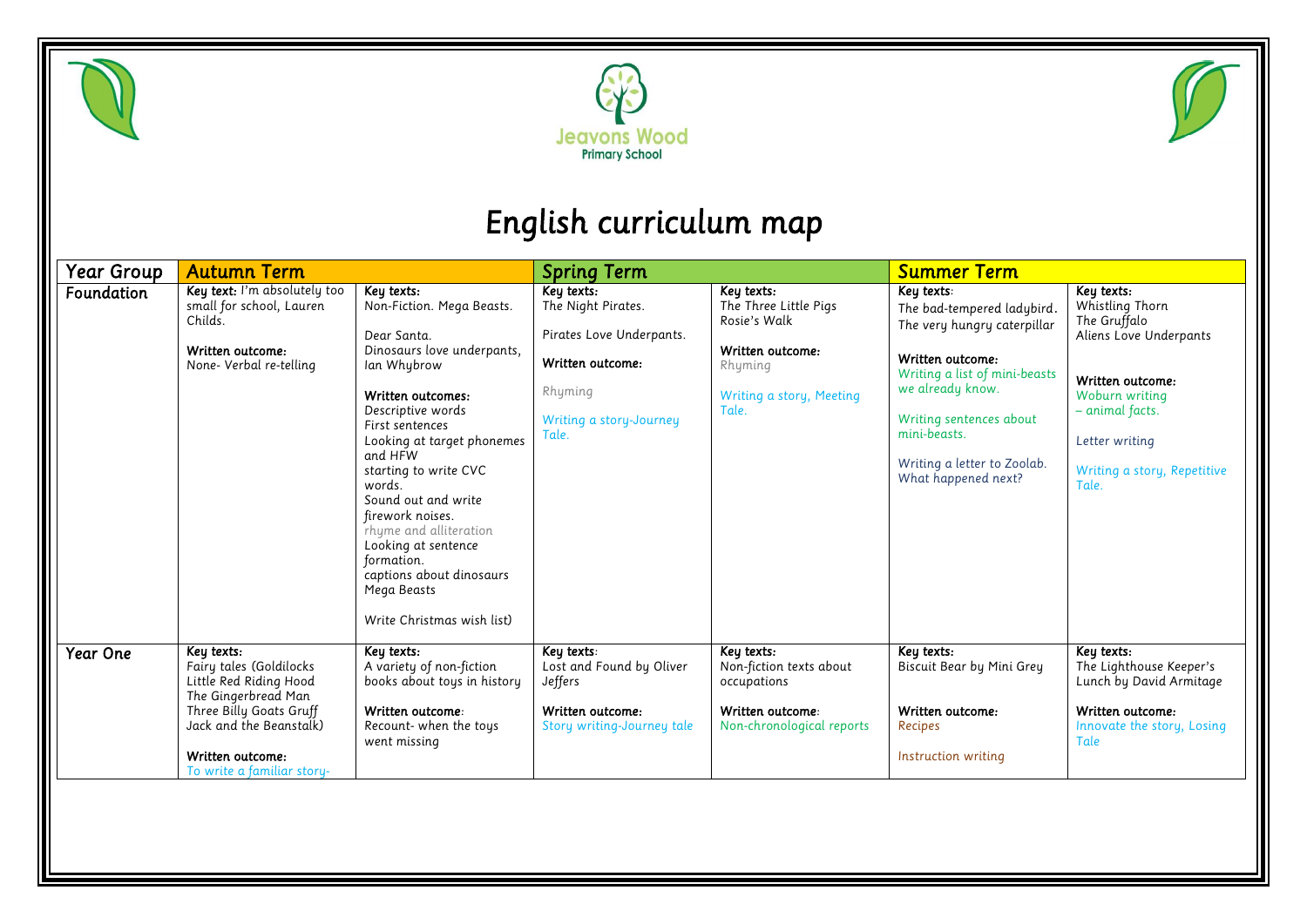





## *English curriculum map*

| Year Group | <b>Autumn Term</b>                                                                                                                                                                             |                                                                                                                                                                                                                                                                                                                                                                                                                                 | <b>Spring Term</b>                                                                                                              |                                                                                                                         | <b>Summer Term</b>                                                                                                                                                                                                                                |                                                                                                                                                                                            |
|------------|------------------------------------------------------------------------------------------------------------------------------------------------------------------------------------------------|---------------------------------------------------------------------------------------------------------------------------------------------------------------------------------------------------------------------------------------------------------------------------------------------------------------------------------------------------------------------------------------------------------------------------------|---------------------------------------------------------------------------------------------------------------------------------|-------------------------------------------------------------------------------------------------------------------------|---------------------------------------------------------------------------------------------------------------------------------------------------------------------------------------------------------------------------------------------------|--------------------------------------------------------------------------------------------------------------------------------------------------------------------------------------------|
| Foundation | Key text: I'm absolutely too<br>small for school, Lauren<br>Childs.<br>Written outcome:<br>None- Verbal re-telling                                                                             | Key texts:<br>Non-Fiction. Mega Beasts.<br>Dear Santa.<br>Dinosaurs love underpants,<br>Ian Whybrow<br>Written outcomes:<br>Descriptive words<br>First sentences<br>Looking at target phonemes<br>and HFW<br>starting to write CVC<br>words.<br>Sound out and write<br>firework noises.<br>rhyme and alliteration<br>Looking at sentence<br>formation.<br>captions about dinosaurs<br>Mega Beasts<br>Write Christmas wish list) | Key texts:<br>The Night Pirates.<br>Pirates Love Underpants.<br>Written outcome:<br>Rhyming<br>Writing a story-Journey<br>Tale. | Key texts:<br>The Three Little Pigs<br>Rosie's Walk<br>Written outcome:<br>Rhyming<br>Writing a story, Meeting<br>Tale. | Key texts:<br>The bad-tempered ladybird.<br>The very hungry caterpillar<br>Written outcome:<br>Writing a list of mini-beasts<br>we already know.<br>Writing sentences about<br>mini-beasts.<br>Writing a letter to Zoolab.<br>What happened next? | Key texts:<br>Whistling Thorn<br>The Gruffalo<br>Aliens Love Underpants<br>Written outcome:<br>Woburn writing<br>- animal facts.<br>Letter writing<br>Writing a story, Repetitive<br>Tale. |
| Year One   | Key texts:<br>Fairy tales (Goldilocks<br>Little Red Riding Hood<br>The Gingerbread Man<br>Three Billy Goats Gruff<br>Jack and the Beanstalk)<br>Written outcome:<br>To write a familiar story- | Key texts:<br>A variety of non-fiction<br>books about toys in history<br>Written outcome:<br>Recount- when the toys<br>went missing                                                                                                                                                                                                                                                                                             | Key texts:<br>Lost and Found by Oliver<br>Jeffers<br>Written outcome:<br>Story writing-Journey tale                             | Key texts:<br>Non-fiction texts about<br>occupations<br>Written outcome:<br>Non-chronological reports                   | Key texts:<br>Biscuit Bear by Mini Grey<br>Written outcome:<br>Recipes<br>Instruction writing                                                                                                                                                     | Key texts:<br>The Lighthouse Keeper's<br>Lunch by David Armitage<br>Written outcome:<br>Innovate the story, Losing<br>Tale                                                                 |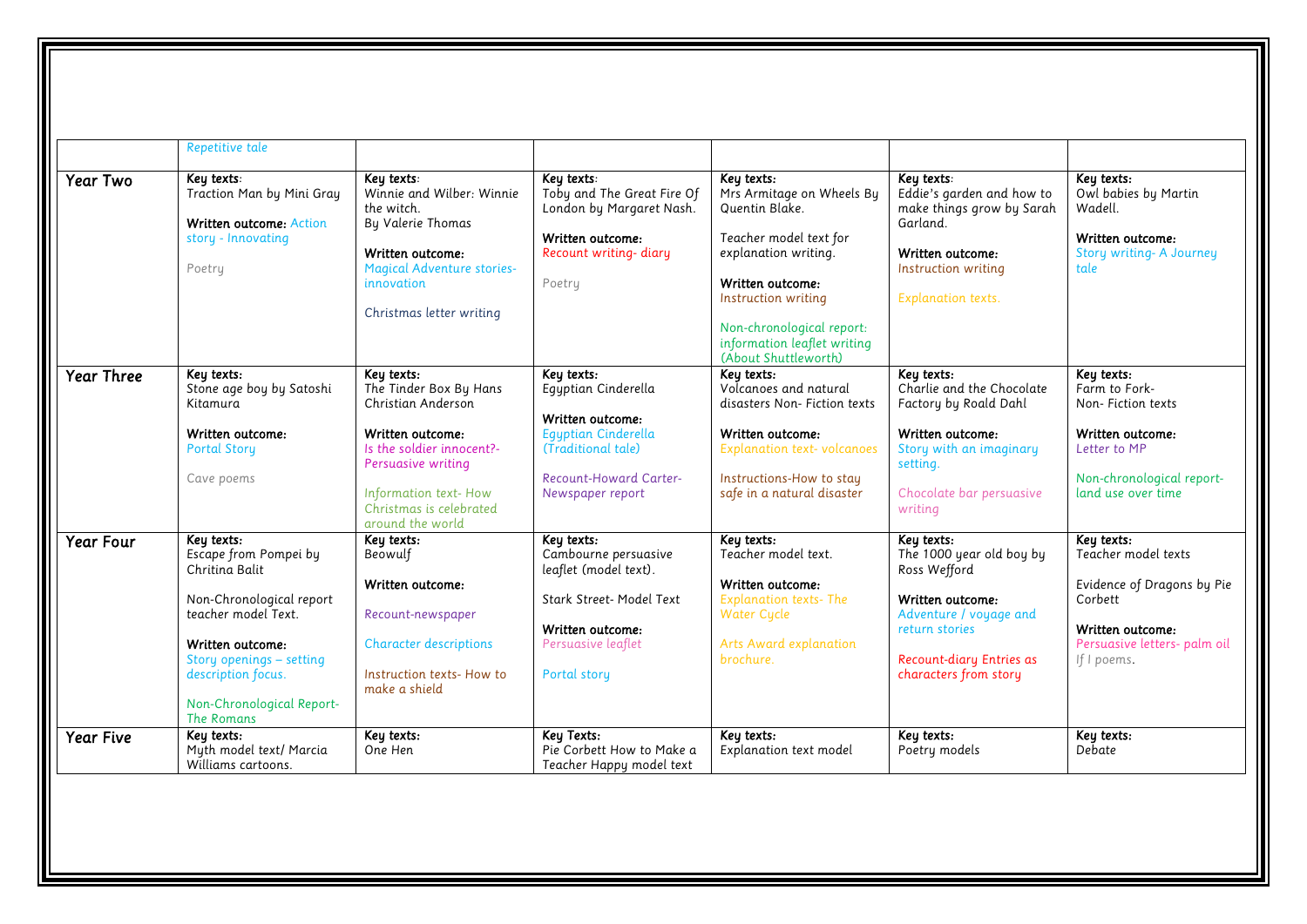|                   | Repetitive tale                                                                                                                                                                                                           |                                                                                                                                                                                                          |                                                                                                                                                         |                                                                                                                                                                                                                                            |                                                                                                                                                                             |                                                                                                                                                 |
|-------------------|---------------------------------------------------------------------------------------------------------------------------------------------------------------------------------------------------------------------------|----------------------------------------------------------------------------------------------------------------------------------------------------------------------------------------------------------|---------------------------------------------------------------------------------------------------------------------------------------------------------|--------------------------------------------------------------------------------------------------------------------------------------------------------------------------------------------------------------------------------------------|-----------------------------------------------------------------------------------------------------------------------------------------------------------------------------|-------------------------------------------------------------------------------------------------------------------------------------------------|
| Year Two          | Key texts:<br>Traction Man by Mini Gray<br>Written outcome: Action<br>story - Innovating<br>Poetry                                                                                                                        | Key texts:<br>Winnie and Wilber: Winnie<br>the witch.<br>By Valerie Thomas<br>Written outcome:<br><b>Magical Adventure stories-</b><br>innovation<br>Christmas letter writing                            | Key texts:<br>Toby and The Great Fire Of<br>London by Margaret Nash.<br>Written outcome:<br>Recount writing- diary<br>Poetry                            | Key texts:<br>Mrs Armitage on Wheels By<br>Quentin Blake.<br>Teacher model text for<br>explanation writing.<br>Written outcome:<br>Instruction writing<br>Non-chronological report:<br>information leaflet writing<br>(About Shuttleworth) | Key texts:<br>Eddie's garden and how to<br>make things grow by Sarah<br>Garland.<br>Written outcome:<br>Instruction writing<br><b>Explanation texts.</b>                    | Key texts:<br>Owl babies by Martin<br>Wadell.<br>Written outcome:<br><b>Story writing- A Journey</b><br>tale                                    |
| <b>Year Three</b> | Key texts:<br>Stone age boy by Satoshi<br>Kitamura<br>Written outcome:<br><b>Portal Story</b><br>Cave poems                                                                                                               | Key texts:<br>The Tinder Box By Hans<br>Christian Anderson<br>Written outcome:<br>Is the soldier innocent?-<br>Persuasive writing<br>Information text-How<br>Christmas is celebrated<br>around the world | Key texts:<br>Eqyptian Cinderella<br>Written outcome:<br>Egyptian Cinderella<br>(Traditional tale)<br><b>Recount-Howard Carter-</b><br>Newspaper report | Key texts:<br>Volcanoes and natural<br>disasters Non- Fiction texts<br>Written outcome:<br><b>Explanation text-volcanoes</b><br>Instructions-How to stay<br>safe in a natural disaster                                                     | Key texts:<br>Charlie and the Chocolate<br>Factory by Roald Dahl<br>Written outcome:<br>Story with an imaginary<br>setting.<br>Chocolate bar persuasive<br>writing          | Key texts:<br>Farm to Fork-<br>Non-Fiction texts<br>Written outcome:<br>Letter to MP<br>Non-chronological report-<br>land use over time         |
| <b>Year Four</b>  | Key texts:<br>Escape from Pompei by<br>Chritina Balit<br>Non-Chronological report<br>teacher model Text.<br>Written outcome:<br>Story openings - setting<br>description focus.<br>Non-Chronological Report-<br>The Romans | Key texts:<br>Beowulf<br>Written outcome:<br>Recount-newspaper<br><b>Character descriptions</b><br>Instruction texts-How to<br>make a shield                                                             | Keu texts:<br>Cambourne persuasive<br>leaflet (model text).<br>Stark Street- Model Text<br>Written outcome:<br>Persuasive leaflet<br>Portal story       | Key texts:<br>Teacher model text.<br>Written outcome:<br><b>Explanation texts-The</b><br><b>Water Cycle</b><br>Arts Award explanation<br>brochure.                                                                                         | Keu texts:<br>The 1000 year old boy by<br>Ross Wefford<br>Written outcome:<br>Adventure / voyage and<br>return stories<br>Recount-diary Entries as<br>characters from story | Key texts:<br>Teacher model texts<br>Evidence of Dragons by Pie<br>Corbett<br>Written outcome:<br>Persuasive letters- palm oil<br>If $I$ poems. |
| <b>Year Five</b>  | Keu texts:<br>Myth model text/ Marcia<br>Williams cartoons.                                                                                                                                                               | Key texts:<br>One Hen                                                                                                                                                                                    | Keu Texts:<br>Pie Corbett How to Make a<br>Teacher Happy model text                                                                                     | Keu texts:<br>Explanation text model                                                                                                                                                                                                       | Keu texts:<br>Poetry models                                                                                                                                                 | Key texts:<br>Debate                                                                                                                            |